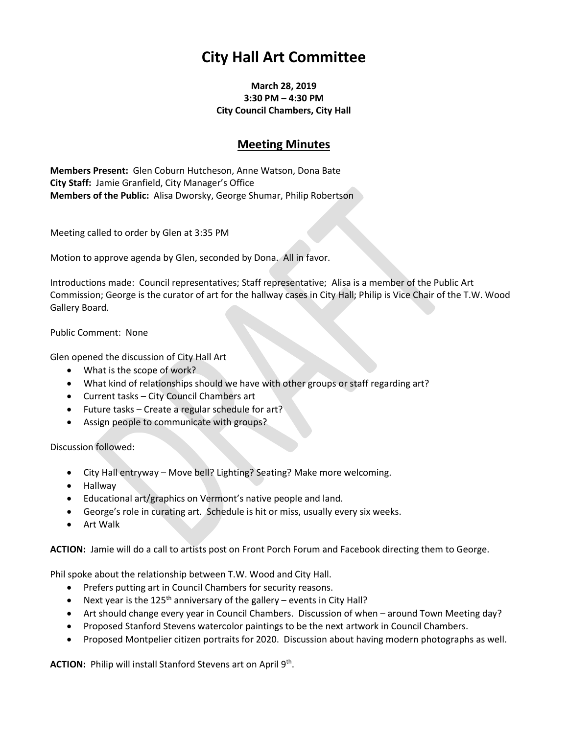## **City Hall Art Committee**

## **March 28, 2019 3:30 PM – 4:30 PM City Council Chambers, City Hall**

## **Meeting Minutes**

**Members Present:** Glen Coburn Hutcheson, Anne Watson, Dona Bate **City Staff:** Jamie Granfield, City Manager's Office **Members of the Public:** Alisa Dworsky, George Shumar, Philip Robertson

Meeting called to order by Glen at 3:35 PM

Motion to approve agenda by Glen, seconded by Dona. All in favor.

Introductions made: Council representatives; Staff representative; Alisa is a member of the Public Art Commission; George is the curator of art for the hallway cases in City Hall; Philip is Vice Chair of the T.W. Wood Gallery Board.

Public Comment: None

Glen opened the discussion of City Hall Art

- What is the scope of work?
- What kind of relationships should we have with other groups or staff regarding art?
- Current tasks City Council Chambers art
- Future tasks Create a regular schedule for art?
- Assign people to communicate with groups?

Discussion followed:

- City Hall entryway Move bell? Lighting? Seating? Make more welcoming.
- Hallway
- Educational art/graphics on Vermont's native people and land.
- George's role in curating art. Schedule is hit or miss, usually every six weeks.
- Art Walk

**ACTION:** Jamie will do a call to artists post on Front Porch Forum and Facebook directing them to George.

Phil spoke about the relationship between T.W. Wood and City Hall.

- Prefers putting art in Council Chambers for security reasons.
- Next year is the 125<sup>th</sup> anniversary of the gallery events in City Hall?
- Art should change every year in Council Chambers. Discussion of when around Town Meeting day?
- Proposed Stanford Stevens watercolor paintings to be the next artwork in Council Chambers.
- Proposed Montpelier citizen portraits for 2020. Discussion about having modern photographs as well.

ACTION: Philip will install Stanford Stevens art on April 9<sup>th</sup>.